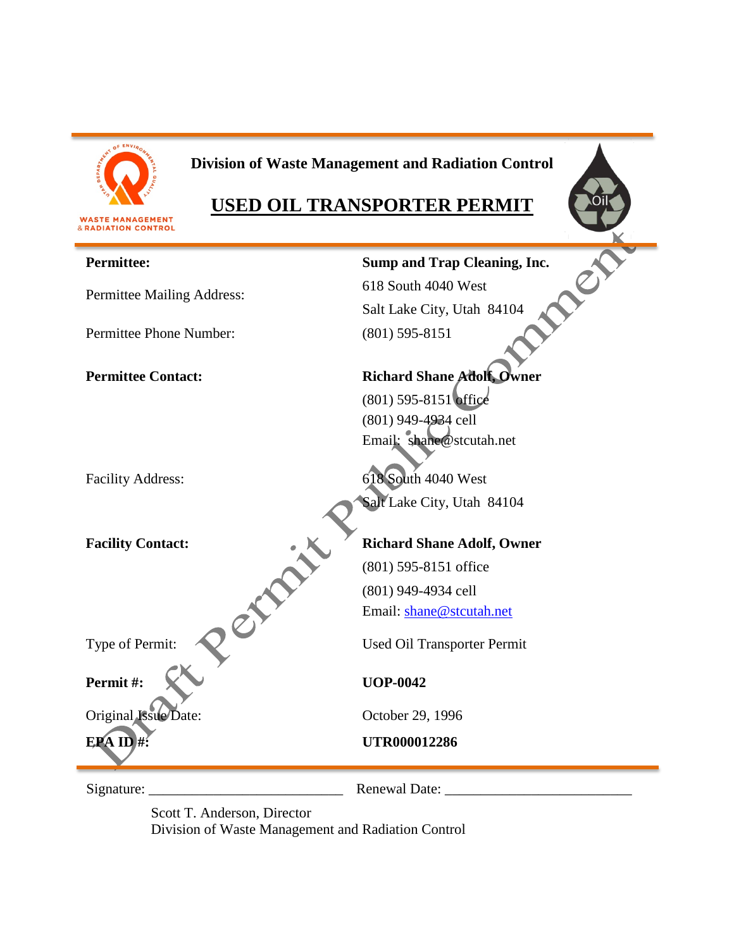

# **Division of Waste Management and Radiation Control**

# **USED OIL TRANSPORTER PERMIT**



Scott T. Anderson, Director

Division of Waste Management and Radiation Control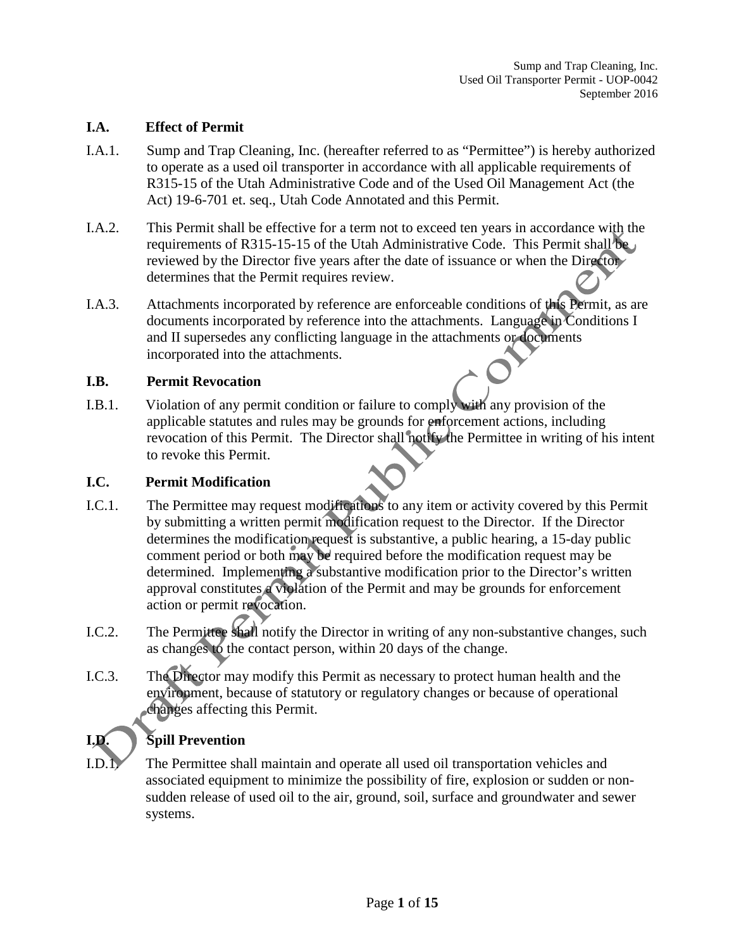### **I.A. Effect of Permit**

- I.A.1. Sump and Trap Cleaning, Inc. (hereafter referred to as "Permittee") is hereby authorized to operate as a used oil transporter in accordance with all applicable requirements of R315-15 of the Utah Administrative Code and of the Used Oil Management Act (the Act) 19-6-701 et. seq., Utah Code Annotated and this Permit.
- I.A.2. This Permit shall be effective for a term not to exceed ten years in accordance with the requirements of R315-15-15 of the Utah Administrative Code. This Permit shall be reviewed by the Director five years after the date of issuance or when the Director determines that the Permit requires review.
- I.A.3. Attachments incorporated by reference are enforceable conditions of this Permit, as are documents incorporated by reference into the attachments. Language in Conditions I and II supersedes any conflicting language in the attachments or documents incorporated into the attachments.

### **I.B. Permit Revocation**

I.B.1. Violation of any permit condition or failure to comply with any provision of the applicable statutes and rules may be grounds for enforcement actions, including revocation of this Permit. The Director shall notify the Permittee in writing of his intent to revoke this Permit.

### **I.C. Permit Modification**

- I.C.1. The Permittee may request modifications to any item or activity covered by this Permit by submitting a written permit modification request to the Director. If the Director determines the modification request is substantive, a public hearing, a 15-day public comment period or both may be required before the modification request may be determined. Implementing a substantive modification prior to the Director's written approval constitutes a violation of the Permit and may be grounds for enforcement action or permit revocation.
- I.C.2. The Permittee shall notify the Director in writing of any non-substantive changes, such as changes to the contact person, within 20 days of the change.
- I.C.3. The Director may modify this Permit as necessary to protect human health and the environment, because of statutory or regulatory changes or because of operational changes affecting this Permit.

## **I.D. Spill Prevention**

I.D.1. The Permittee shall maintain and operate all used oil transportation vehicles and associated equipment to minimize the possibility of fire, explosion or sudden or nonsudden release of used oil to the air, ground, soil, surface and groundwater and sewer systems.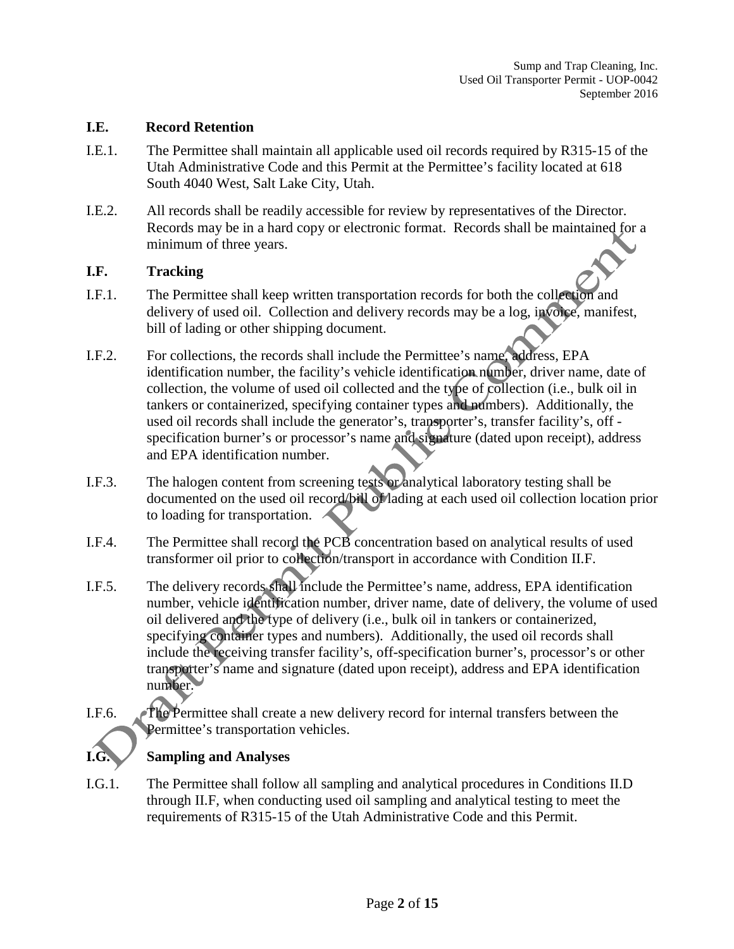### **I.E. Record Retention**

- I.E.1. The Permittee shall maintain all applicable used oil records required by R315-15 of the Utah Administrative Code and this Permit at the Permittee's facility located at 618 South 4040 West, Salt Lake City, Utah.
- I.E.2. All records shall be readily accessible for review by representatives of the Director. Records may be in a hard copy or electronic format. Records shall be maintained for a minimum of three years.

### **I.F. Tracking**

- I.F.1. The Permittee shall keep written transportation records for both the collection and delivery of used oil. Collection and delivery records may be a log, invoice, manifest, bill of lading or other shipping document.
- I.F.2. For collections, the records shall include the Permittee's name, address, EPA identification number, the facility's vehicle identification number, driver name, date of collection, the volume of used oil collected and the type of collection (i.e., bulk oil in tankers or containerized, specifying container types and numbers). Additionally, the used oil records shall include the generator's, transporter's, transfer facility's, off specification burner's or processor's name and signature (dated upon receipt), address and EPA identification number.
- I.F.3. The halogen content from screening tests or analytical laboratory testing shall be documented on the used oil record/bill of lading at each used oil collection location prior to loading for transportation.
- I.F.4. The Permittee shall record the PCB concentration based on analytical results of used transformer oil prior to collection/transport in accordance with Condition II.F.
- I.F.5. The delivery records shall include the Permittee's name, address, EPA identification number, vehicle identification number, driver name, date of delivery, the volume of used oil delivered and the type of delivery (i.e., bulk oil in tankers or containerized, specifying container types and numbers). Additionally, the used oil records shall include the receiving transfer facility's, off-specification burner's, processor's or other transporter's name and signature (dated upon receipt), address and EPA identification number.
- I.F.6. The Permittee shall create a new delivery record for internal transfers between the Permittee's transportation vehicles.

### **I.G. Sampling and Analyses**

I.G.1. The Permittee shall follow all sampling and analytical procedures in Conditions II.D through II.F, when conducting used oil sampling and analytical testing to meet the requirements of R315-15 of the Utah Administrative Code and this Permit.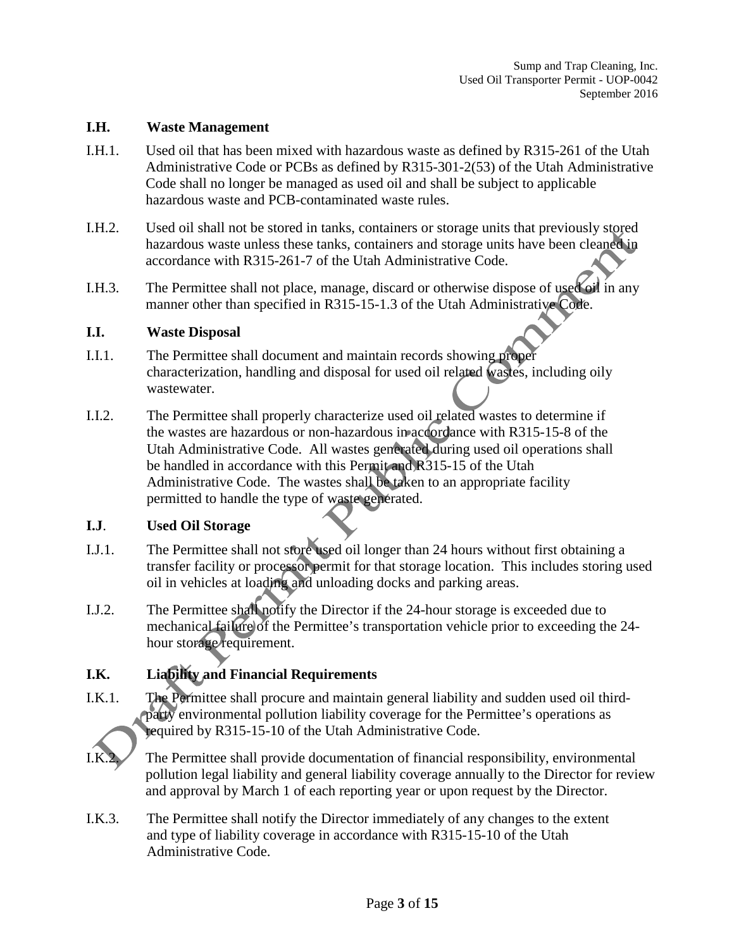### **I.H. Waste Management**

- I.H.1. Used oil that has been mixed with hazardous waste as defined by R315-261 of the Utah Administrative Code or PCBs as defined by R315-301-2(53) of the Utah Administrative Code shall no longer be managed as used oil and shall be subject to applicable hazardous waste and PCB-contaminated waste rules.
- I.H.2. Used oil shall not be stored in tanks, containers or storage units that previously stored hazardous waste unless these tanks, containers and storage units have been cleaned in accordance with R315-261-7 of the Utah Administrative Code.
- I.H.3. The Permittee shall not place, manage, discard or otherwise dispose of used oil in any manner other than specified in R315-15-1.3 of the Utah Administrative Code.

### **I.I. Waste Disposal**

- I.I.1. The Permittee shall document and maintain records showing proper characterization, handling and disposal for used oil related wastes, including oily wastewater.
- I.I.2. The Permittee shall properly characterize used oil related wastes to determine if the wastes are hazardous or non-hazardous in accordance with R315-15-8 of the Utah Administrative Code. All wastes generated during used oil operations shall be handled in accordance with this Permit and R315-15 of the Utah Administrative Code. The wastes shall be taken to an appropriate facility permitted to handle the type of waste generated.

### **I.J**. **Used Oil Storage**

- I.J.1. The Permittee shall not store used oil longer than 24 hours without first obtaining a transfer facility or processor permit for that storage location. This includes storing used oil in vehicles at loading and unloading docks and parking areas.
- I.J.2. The Permittee shall notify the Director if the 24-hour storage is exceeded due to mechanical failure of the Permittee's transportation vehicle prior to exceeding the 24hour storage requirement.

### **I.K. Liability and Financial Requirements**

I.K.1. The Permittee shall procure and maintain general liability and sudden used oil thirdparty environmental pollution liability coverage for the Permittee's operations as required by R315-15-10 of the Utah Administrative Code.



The Permittee shall provide documentation of financial responsibility, environmental pollution legal liability and general liability coverage annually to the Director for review and approval by March 1 of each reporting year or upon request by the Director.

I.K.3. The Permittee shall notify the Director immediately of any changes to the extent and type of liability coverage in accordance with R315-15-10 of the Utah Administrative Code.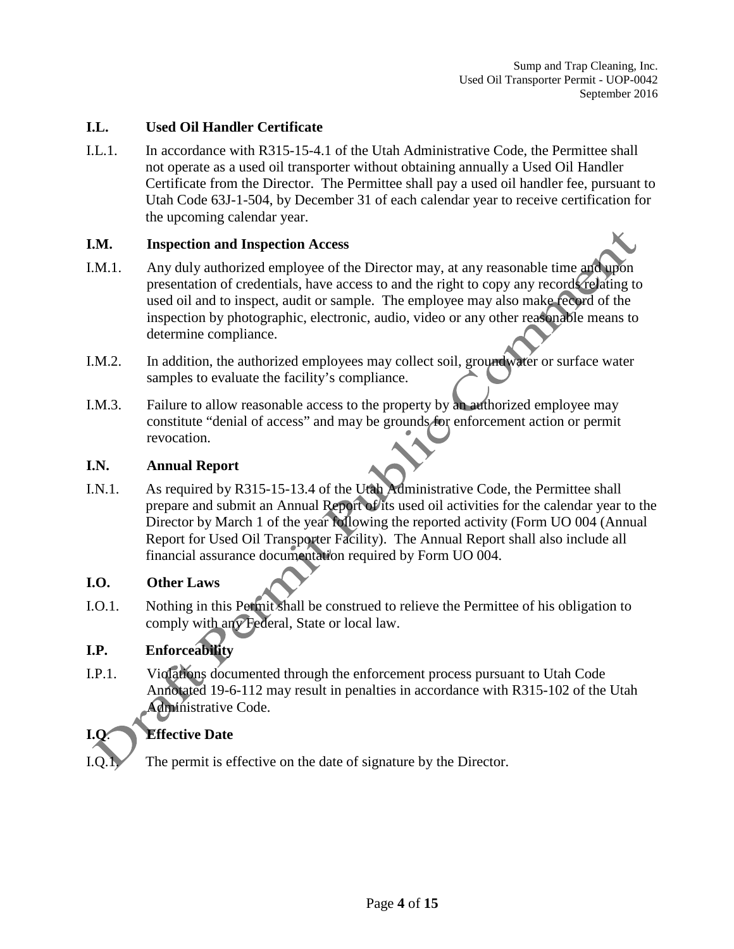### **I.L. Used Oil Handler Certificate**

I.L.1. In accordance with R315-15-4.1 of the Utah Administrative Code, the Permittee shall not operate as a used oil transporter without obtaining annually a Used Oil Handler Certificate from the Director. The Permittee shall pay a used oil handler fee, pursuant to Utah Code 63J-1-504, by December 31 of each calendar year to receive certification for the upcoming calendar year.

### **I.M. Inspection and Inspection Access**

- I.M.1. Any duly authorized employee of the Director may, at any reasonable time and upon presentation of credentials, have access to and the right to copy any records relating to used oil and to inspect, audit or sample. The employee may also make record of the inspection by photographic, electronic, audio, video or any other reasonable means to determine compliance.
- I.M.2. In addition, the authorized employees may collect soil, groundwater or surface water samples to evaluate the facility's compliance.
- I.M.3. Failure to allow reasonable access to the property by an authorized employee may constitute "denial of access" and may be grounds for enforcement action or permit revocation.

### **I.N. Annual Report**

I.N.1. As required by R315-15-13.4 of the Utah Administrative Code, the Permittee shall prepare and submit an Annual Report of its used oil activities for the calendar year to the Director by March 1 of the year following the reported activity (Form UO 004 (Annual Report for Used Oil Transporter Facility). The Annual Report shall also include all financial assurance documentation required by Form UO 004.

### **I.O. Other Laws**

I.O.1. Nothing in this Permit shall be construed to relieve the Permittee of his obligation to comply with any Federal, State or local law.

### **I.P. Enforceability**

I.P.1. Violations documented through the enforcement process pursuant to Utah Code Annotated 19-6-112 may result in penalties in accordance with R315-102 of the Utah Administrative Code.

### **Effective Date**

I.Q.1. The permit is effective on the date of signature by the Director.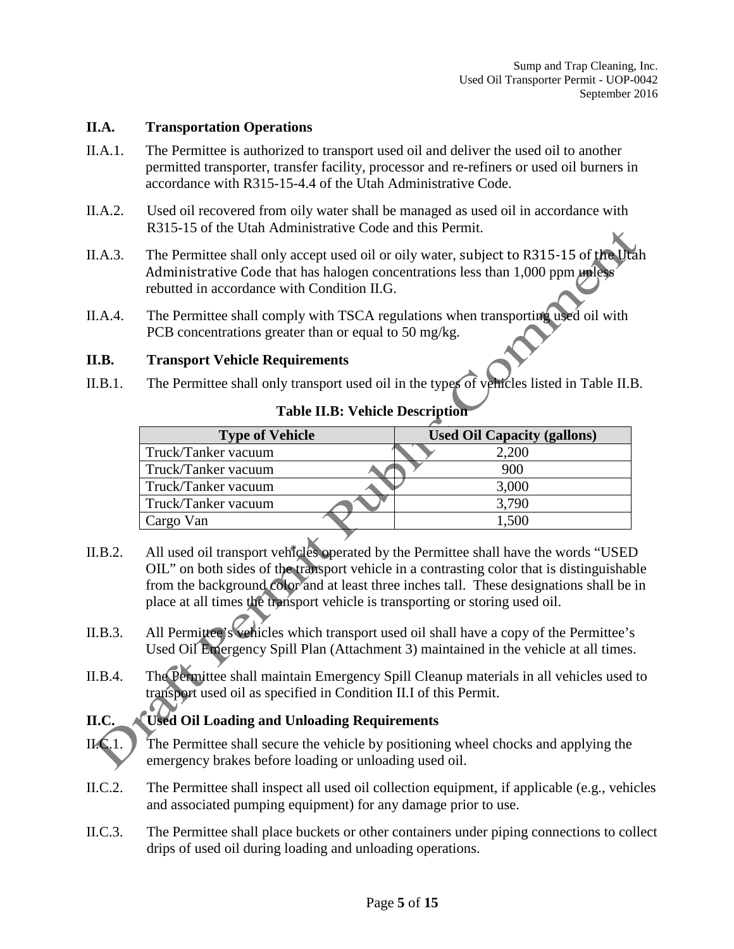### **II.A. Transportation Operations**

- II.A.1. The Permittee is authorized to transport used oil and deliver the used oil to another permitted transporter, transfer facility, processor and re-refiners or used oil burners in accordance with R315-15-4.4 of the Utah Administrative Code.
- II.A.2. Used oil recovered from oily water shall be managed as used oil in accordance with R315-15 of the Utah Administrative Code and this Permit.
- II.A.3. The Permittee shall only accept used oil or oily water, subject to R315-15 of the Utah Administrative Code that has halogen concentrations less than 1,000 ppm unless rebutted in accordance with Condition II.G.
- II.A.4. The Permittee shall comply with TSCA regulations when transporting used oil with PCB concentrations greater than or equal to 50 mg/kg.

### **II.B. Transport Vehicle Requirements**

II.B.1. The Permittee shall only transport used oil in the types of vehicles listed in Table II.B.

|  |  | <b>Table II.B: Vehicle Description</b> |
|--|--|----------------------------------------|
|--|--|----------------------------------------|

| <b>Type of Vehicle</b> | <b>Used Oil Capacity (gallons)</b> |  |
|------------------------|------------------------------------|--|
| Truck/Tanker vacuum    | 2,200                              |  |
| Truck/Tanker vacuum    | 900                                |  |
| Truck/Tanker vacuum    | 3,000                              |  |
| Truck/Tanker vacuum    | 3,790                              |  |
| Cargo Van              | 1,500                              |  |

- II.B.2. All used oil transport vehicles operated by the Permittee shall have the words "USED OIL" on both sides of the transport vehicle in a contrasting color that is distinguishable from the background color and at least three inches tall. These designations shall be in place at all times the transport vehicle is transporting or storing used oil.
- II.B.3. All Permittee's vehicles which transport used oil shall have a copy of the Permittee's Used Oil Emergency Spill Plan (Attachment 3) maintained in the vehicle at all times.
- II.B.4. The Permittee shall maintain Emergency Spill Cleanup materials in all vehicles used to transport used oil as specified in Condition II.I of this Permit.

### **II.C. Used Oil Loading and Unloading Requirements**

- II.C.1. The Permittee shall secure the vehicle by positioning wheel chocks and applying the emergency brakes before loading or unloading used oil.
- II.C.2. The Permittee shall inspect all used oil collection equipment, if applicable (e.g., vehicles and associated pumping equipment) for any damage prior to use.
- II.C.3. The Permittee shall place buckets or other containers under piping connections to collect drips of used oil during loading and unloading operations.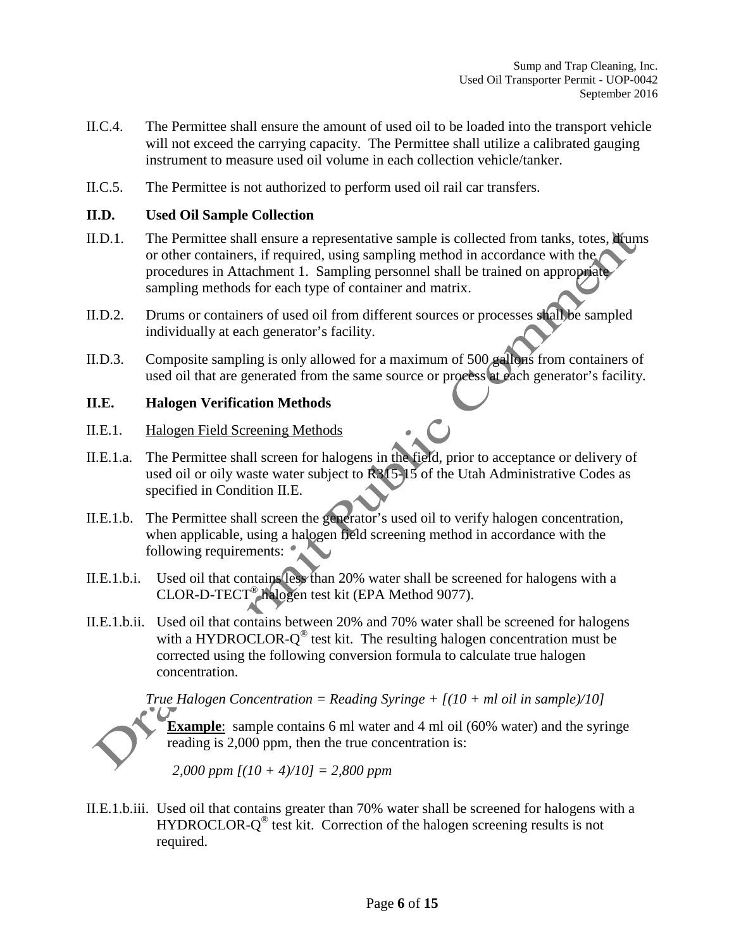- II.C.4. The Permittee shall ensure the amount of used oil to be loaded into the transport vehicle will not exceed the carrying capacity. The Permittee shall utilize a calibrated gauging instrument to measure used oil volume in each collection vehicle/tanker.
- II.C.5. The Permittee is not authorized to perform used oil rail car transfers.

### **II.D. Used Oil Sample Collection**

- II.D.1. The Permittee shall ensure a representative sample is collected from tanks, totes, limitums or other containers, if required, using sampling method in accordance with the procedures in Attachment 1. Sampling personnel shall be trained on appropriate sampling methods for each type of container and matrix.
- II.D.2. Drums or containers of used oil from different sources or processes shall be sampled individually at each generator's facility.
- II.D.3. Composite sampling is only allowed for a maximum of 500 gallons from containers of used oil that are generated from the same source or process at each generator's facility.

### **II.E. Halogen Verification Methods**

- II.E.1. Halogen Field Screening Methods
- II.E.1.a. The Permittee shall screen for halogens in the field, prior to acceptance or delivery of used oil or oily waste water subject to R315-15 of the Utah Administrative Codes as specified in Condition II.E.
- II.E.1.b. The Permittee shall screen the generator's used oil to verify halogen concentration, when applicable, using a halogen field screening method in accordance with the following requirements:  $\bullet$
- II.E.1.b.i. Used oil that contains less than 20% water shall be screened for halogens with a CLOR-D-TECT® halogen test kit (EPA Method 9077).
- II.E.1.b.ii. Used oil that contains between 20% and 70% water shall be screened for halogens with a HYDROCLOR- $Q^{\circledast}$  test kit. The resulting halogen concentration must be corrected using the following conversion formula to calculate true halogen concentration.

*True Halogen Concentration = Reading Syringe + [(10 + ml oil in sample)/10]*

**Example**: sample contains 6 ml water and 4 ml oil (60% water) and the syringe reading is 2,000 ppm, then the true concentration is:

*2,000 ppm [(10 + 4)/10] = 2,800 ppm*

II.E.1.b.iii. Used oil that contains greater than 70% water shall be screened for halogens with a  $HYDROCLOR-Q<sup>®</sup>$  test kit. Correction of the halogen screening results is not required.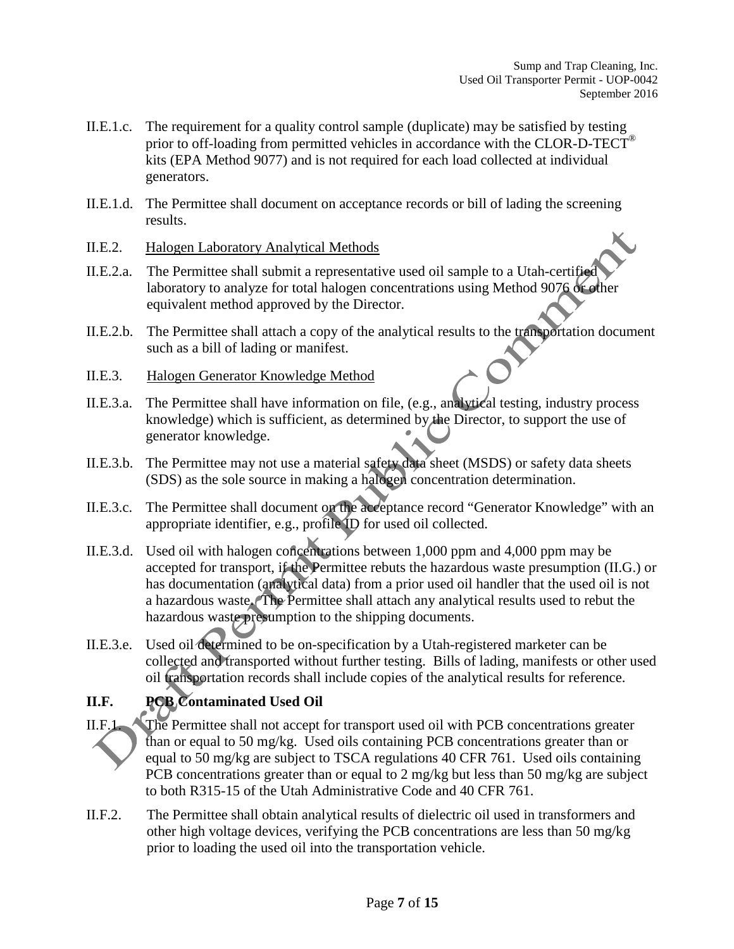- II.E.1.c. The requirement for a quality control sample (duplicate) may be satisfied by testing prior to off-loading from permitted vehicles in accordance with the CLOR-D-TECT® kits (EPA Method 9077) and is not required for each load collected at individual generators.
- II.E.1.d. The Permittee shall document on acceptance records or bill of lading the screening results.
- II.E.2. Halogen Laboratory Analytical Methods
- II.E.2.a. The Permittee shall submit a representative used oil sample to a Utah-certified laboratory to analyze for total halogen concentrations using Method 9076 or other equivalent method approved by the Director.
- II.E.2.b. The Permittee shall attach a copy of the analytical results to the transportation document such as a bill of lading or manifest.
- II.E.3. Halogen Generator Knowledge Method
- II.E.3.a. The Permittee shall have information on file, (e.g., analytical testing, industry process knowledge) which is sufficient, as determined by the Director, to support the use of generator knowledge.
- II.E.3.b. The Permittee may not use a material safety data sheet (MSDS) or safety data sheets (SDS) as the sole source in making a halogen concentration determination.
- II.E.3.c. The Permittee shall document on the acceptance record "Generator Knowledge" with an appropriate identifier, e.g., profile ID for used oil collected.
- II.E.3.d. Used oil with halogen concentrations between 1,000 ppm and 4,000 ppm may be accepted for transport, if the Permittee rebuts the hazardous waste presumption (II.G.) or has documentation (analytical data) from a prior used oil handler that the used oil is not a hazardous waste. The Permittee shall attach any analytical results used to rebut the hazardous waste presumption to the shipping documents.
- II.E.3.e. Used oil determined to be on-specification by a Utah-registered marketer can be collected and transported without further testing. Bills of lading, manifests or other used oil transportation records shall include copies of the analytical results for reference.

### **II.F. PCB Contaminated Used Oil**

- II.F.1. The Permittee shall not accept for transport used oil with PCB concentrations greater than or equal to 50 mg/kg. Used oils containing PCB concentrations greater than or equal to 50 mg/kg are subject to TSCA regulations 40 CFR 761. Used oils containing PCB concentrations greater than or equal to 2 mg/kg but less than 50 mg/kg are subject to both R315-15 of the Utah Administrative Code and 40 CFR 761.
- II.F.2. The Permittee shall obtain analytical results of dielectric oil used in transformers and other high voltage devices, verifying the PCB concentrations are less than 50 mg/kg prior to loading the used oil into the transportation vehicle.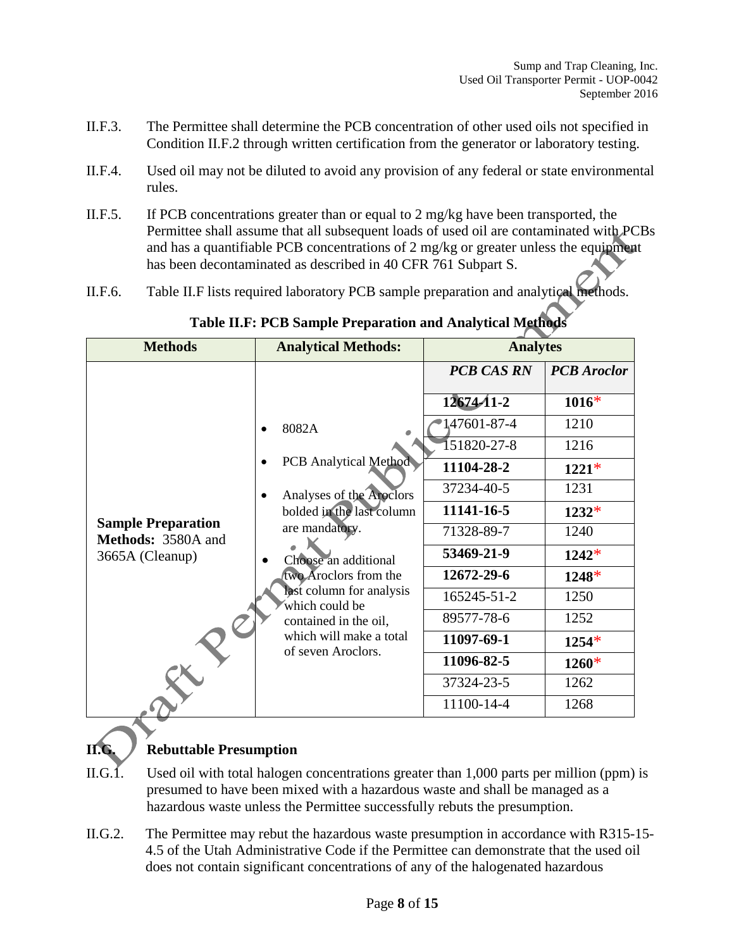- II.F.3. The Permittee shall determine the PCB concentration of other used oils not specified in Condition II.F.2 through written certification from the generator or laboratory testing.
- II.F.4. Used oil may not be diluted to avoid any provision of any federal or state environmental rules.
- II.F.5. If PCB concentrations greater than or equal to 2 mg/kg have been transported, the Permittee shall assume that all subsequent loads of used oil are contaminated with PCBs and has a quantifiable PCB concentrations of 2 mg/kg or greater unless the equipment has been decontaminated as described in 40 CFR 761 Subpart S.
- II.F.6. Table II.F lists required laboratory PCB sample preparation and analytical methods.

| <b>Methods</b>                                  | <b>Analytical Methods:</b>                                                                                                               | <b>Analytes</b>   |                    |
|-------------------------------------------------|------------------------------------------------------------------------------------------------------------------------------------------|-------------------|--------------------|
|                                                 |                                                                                                                                          | <b>PCB CAS RN</b> | <b>PCB</b> Aroclor |
|                                                 |                                                                                                                                          | $12674 - 11 - 2$  | $1016*$            |
|                                                 | 8082A<br><b>PCB</b> Analytical Method<br>Analyses of the Aroclors<br>bolded in the last column<br>are mandatory.<br>Choose an additional | 147601-87-4       | 1210               |
|                                                 |                                                                                                                                          | 151820-27-8       | 1216               |
|                                                 |                                                                                                                                          | 11104-28-2        | $1221*$            |
|                                                 |                                                                                                                                          | 37234-40-5        | 1231               |
|                                                 |                                                                                                                                          | 11141-16-5        | $1232*$            |
| <b>Sample Preparation</b><br>Methods: 3580A and |                                                                                                                                          | 71328-89-7        | 1240               |
| 3665A (Cleanup)                                 |                                                                                                                                          | 53469-21-9        | $1242*$            |
|                                                 | two Aroclors from the                                                                                                                    | 12672-29-6        | $1248*$            |
|                                                 | last column for analysis<br>which could be                                                                                               | 165245-51-2       | 1250               |
|                                                 | contained in the oil,                                                                                                                    | 89577-78-6        | 1252               |
|                                                 | which will make a total<br>of seven Aroclors.                                                                                            | 11097-69-1        | $1254*$            |
|                                                 |                                                                                                                                          | 11096-82-5        | $1260*$            |
|                                                 |                                                                                                                                          | 37324-23-5        | 1262               |
|                                                 |                                                                                                                                          | 11100-14-4        | 1268               |

### **Table II.F: PCB Sample Preparation and Analytical Methods**

### **II.G. Rebuttable Presumption**

- II.G.1. Used oil with total halogen concentrations greater than 1,000 parts per million (ppm) is presumed to have been mixed with a hazardous waste and shall be managed as a hazardous waste unless the Permittee successfully rebuts the presumption.
- II.G.2. The Permittee may rebut the hazardous waste presumption in accordance with R315-15- 4.5 of the Utah Administrative Code if the Permittee can demonstrate that the used oil does not contain significant concentrations of any of the halogenated hazardous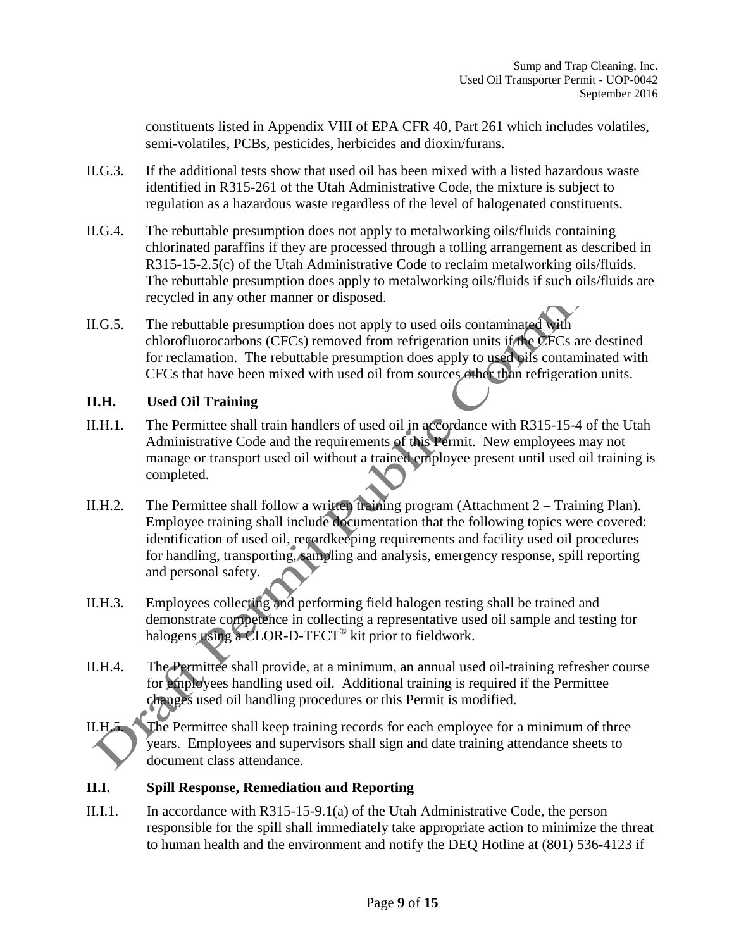constituents listed in Appendix VIII of EPA CFR 40, Part 261 which includes volatiles, semi-volatiles, PCBs, pesticides, herbicides and dioxin/furans.

- II.G.3. If the additional tests show that used oil has been mixed with a listed hazardous waste identified in R315-261 of the Utah Administrative Code, the mixture is subject to regulation as a hazardous waste regardless of the level of halogenated constituents.
- II.G.4. The rebuttable presumption does not apply to metalworking oils/fluids containing chlorinated paraffins if they are processed through a tolling arrangement as described in R315-15-2.5(c) of the Utah Administrative Code to reclaim metalworking oils/fluids. The rebuttable presumption does apply to metalworking oils/fluids if such oils/fluids are recycled in any other manner or disposed.
- II.G.5. The rebuttable presumption does not apply to used oils contaminated with chlorofluorocarbons (CFCs) removed from refrigeration units if the CFCs are destined for reclamation. The rebuttable presumption does apply to used oils contaminated with CFCs that have been mixed with used oil from sources other than refrigeration units.

### **II.H. Used Oil Training**

- II.H.1. The Permittee shall train handlers of used oil in accordance with R315-15-4 of the Utah Administrative Code and the requirements of this Permit. New employees may not manage or transport used oil without a trained employee present until used oil training is completed.
- II.H.2. The Permittee shall follow a written training program (Attachment 2 Training Plan). Employee training shall include documentation that the following topics were covered: identification of used oil, recordkeeping requirements and facility used oil procedures for handling, transporting, sampling and analysis, emergency response, spill reporting and personal safety.
- II.H.3. Employees collecting and performing field halogen testing shall be trained and demonstrate competence in collecting a representative used oil sample and testing for halogens using a CLOR-D-TECT<sup>®</sup> kit prior to fieldwork.
- II.H.4. The Permittee shall provide, at a minimum, an annual used oil-training refresher course for employees handling used oil. Additional training is required if the Permittee changes used oil handling procedures or this Permit is modified.

### **II.I. Spill Response, Remediation and Reporting**

II.I.1. In accordance with R315-15-9.1(a) of the Utah Administrative Code, the person responsible for the spill shall immediately take appropriate action to minimize the threat to human health and the environment and notify the DEQ Hotline at (801) 536-4123 if

II.H.5. The Permittee shall keep training records for each employee for a minimum of three years. Employees and supervisors shall sign and date training attendance sheets to document class attendance.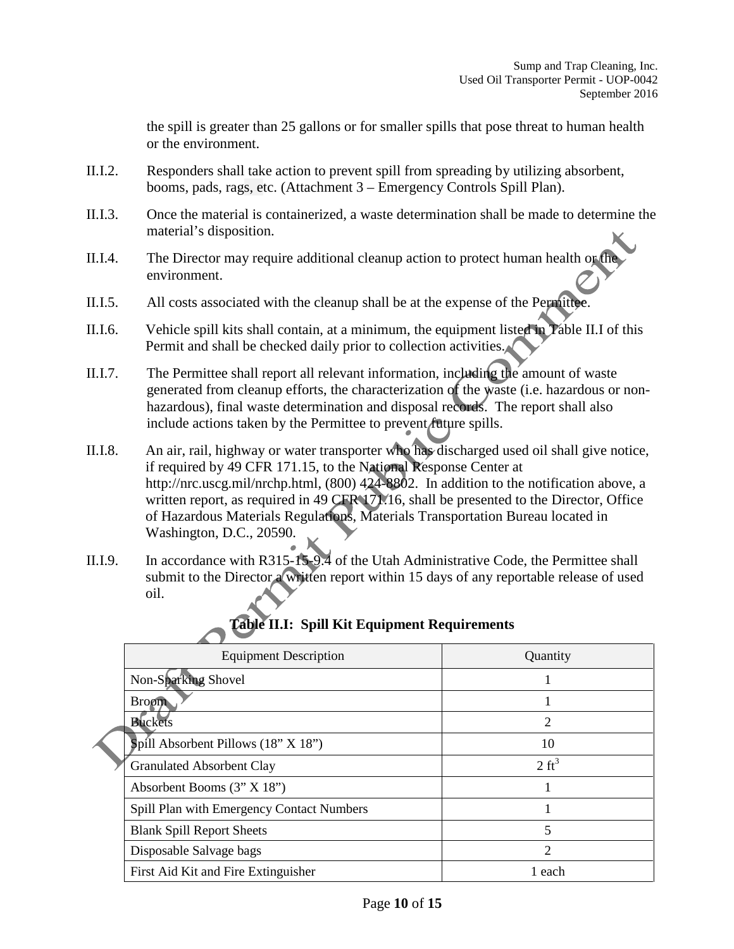the spill is greater than 25 gallons or for smaller spills that pose threat to human health or the environment.

- II.I.2. Responders shall take action to prevent spill from spreading by utilizing absorbent, booms, pads, rags, etc. (Attachment 3 – Emergency Controls Spill Plan).
- II.I.3. Once the material is containerized, a waste determination shall be made to determine the material's disposition.
- II.I.4. The Director may require additional cleanup action to protect human health or the environment.
- II.I.5. All costs associated with the cleanup shall be at the expense of the Permittee.
- II.I.6. Vehicle spill kits shall contain, at a minimum, the equipment listed in Table II.I of this Permit and shall be checked daily prior to collection activities.
- II.I.7. The Permittee shall report all relevant information, including the amount of waste generated from cleanup efforts, the characterization of the waste (i.e. hazardous or nonhazardous), final waste determination and disposal records. The report shall also include actions taken by the Permittee to prevent future spills.
- II.I.8. An air, rail, highway or water transporter who has discharged used oil shall give notice, if required by 49 CFR 171.15, to the National Response Center at http://nrc.uscg.mil/nrchp.html, (800) 424-8802. In addition to the notification above, a written report, as required in 49 CFR 171.16, shall be presented to the Director, Office of Hazardous Materials Regulations, Materials Transportation Bureau located in Washington, D.C., 20590.
- II.I.9. In accordance with R315-15-9.4 of the Utah Administrative Code, the Permittee shall submit to the Director a written report within 15 days of any reportable release of used oil.

| <b>Vault 11.1.</b> Spill Kit Equipment Kequil ements |                  |
|------------------------------------------------------|------------------|
| <b>Equipment Description</b>                         | Quantity         |
| Non-Sparking Shovel                                  |                  |
| <b>Broom</b>                                         |                  |
| <b>Buckets</b>                                       | 2                |
| Spill Absorbent Pillows $(18" X 18")$                | 10               |
| <b>Granulated Absorbent Clay</b>                     | $2 \text{ ft}^3$ |
| Absorbent Booms $(3" X 18")$                         |                  |
| Spill Plan with Emergency Contact Numbers            |                  |
| <b>Blank Spill Report Sheets</b>                     | 5                |
| Disposable Salvage bags                              | 2                |
| First Aid Kit and Fire Extinguisher                  | 1 each           |

### **Table II.I: Spill Kit Equipment Requirements**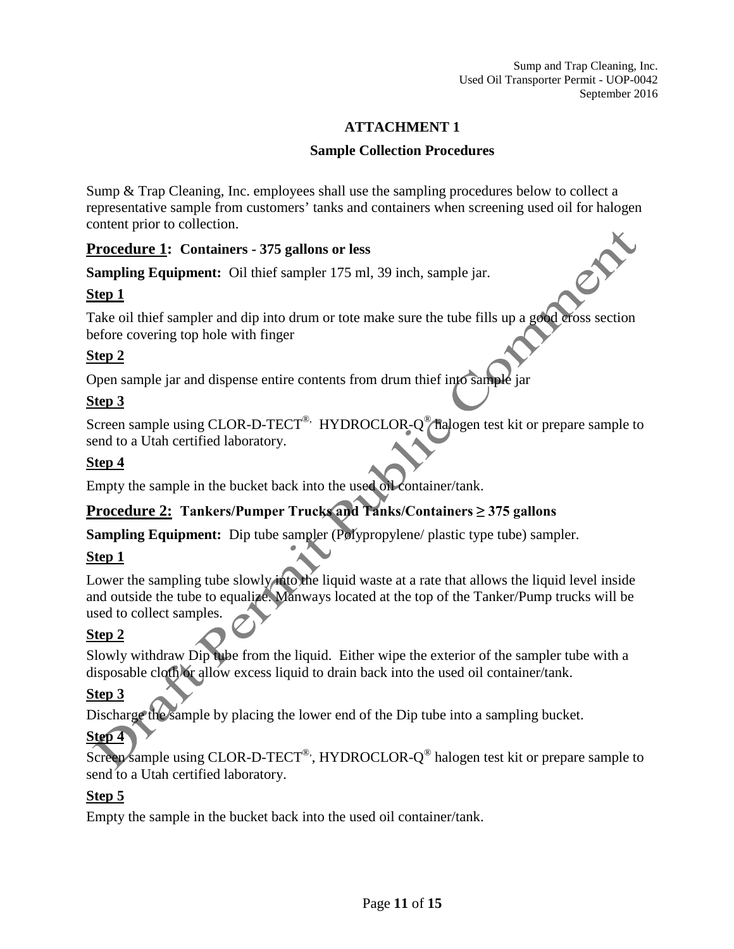Sump and Trap Cleaning, Inc. Used Oil Transporter Permit - UOP-0042 September 2016

### **ATTACHMENT 1**

#### **Sample Collection Procedures**

Sump & Trap Cleaning, Inc. employees shall use the sampling procedures below to collect a representative sample from customers' tanks and containers when screening used oil for halogen content prior to collection.

### **Procedure 1: Containers - 375 gallons or less**

**Sampling Equipment:** Oil thief sampler 175 ml, 39 inch, sample jar.

### **Step 1**

Take oil thief sampler and dip into drum or tote make sure the tube fills up a good cross section before covering top hole with finger

### **Step 2**

Open sample jar and dispense entire contents from drum thief into sample jar

### **Step 3**

Screen sample using CLOR-D-TECT<sup>®,</sup> HYDROCLOR-O<sup>®</sup> halogen test kit or prepare sample to send to a Utah certified laboratory.

### **Step 4**

Empty the sample in the bucket back into the used oil container/tank.

### **Procedure 2: Tankers/Pumper Trucks and Tanks/Containers ≥ 375 gallons**

**Sampling Equipment:** Dip tube sampler (Polypropylene/ plastic type tube) sampler.

### **Step 1**

Lower the sampling tube slowly into the liquid waste at a rate that allows the liquid level inside and outside the tube to equalize. Manways located at the top of the Tanker/Pump trucks will be used to collect samples.

### **Step 2**

Slowly withdraw Dip tube from the liquid. Either wipe the exterior of the sampler tube with a disposable cloth or allow excess liquid to drain back into the used oil container/tank.

### **Step 3**

Discharge the sample by placing the lower end of the Dip tube into a sampling bucket.

### **Step 4**

Screen sample using CLOR-D-TECT<sup>®</sup>, HYDROCLOR- $Q^@$  halogen test kit or prepare sample to send to a Utah certified laboratory.

### **Step 5**

Empty the sample in the bucket back into the used oil container/tank.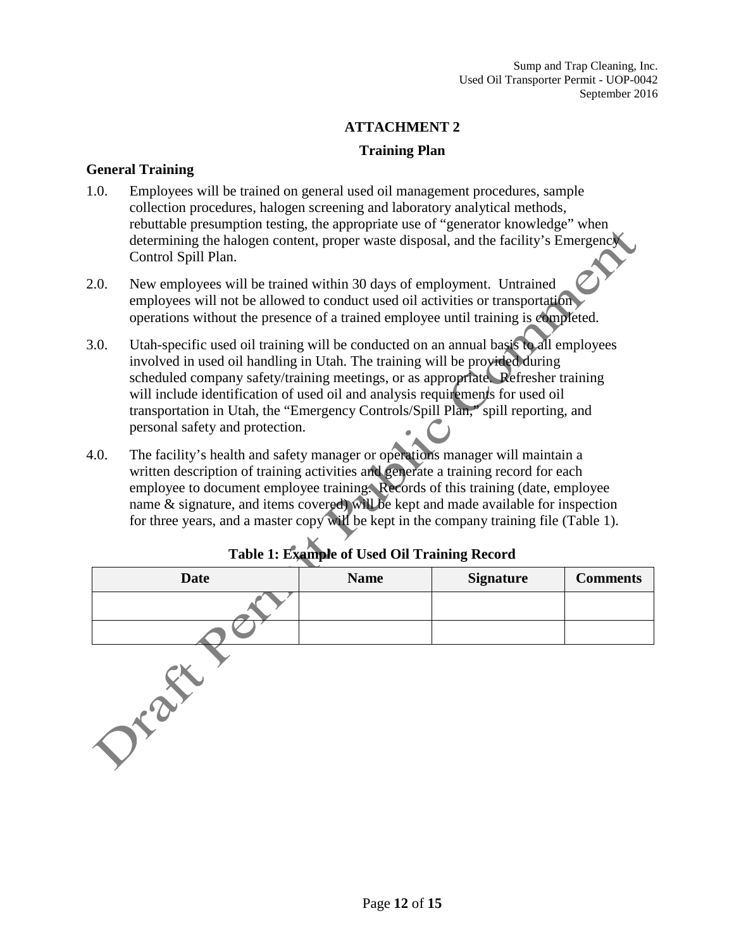### **ATTACHMENT 2**

### **Training Plan**

#### **General Training**

- 1.0. Employees will be trained on general used oil management procedures, sample collection procedures, halogen screening and laboratory analytical methods, rebuttable presumption testing, the appropriate use of "generator knowledge" when determining the halogen content, proper waste disposal, and the facility's Emergency Control Spill Plan.
- 2.0. New employees will be trained within 30 days of employment. Untrained employees will not be allowed to conduct used oil activities or transportation operations without the presence of a trained employee until training is completed.
- 3.0. Utah-specific used oil training will be conducted on an annual basis to all employees involved in used oil handling in Utah. The training will be provided during scheduled company safety/training meetings, or as appropriate. Refresher training will include identification of used oil and analysis requirements for used oil transportation in Utah, the "Emergency Controls/Spill Plan," spill reporting, and personal safety and protection.
- 4.0. The facility's health and safety manager or operations manager will maintain a written description of training activities and generate a training record for each employee to document employee training. Records of this training (date, employee name & signature, and items covered) will be kept and made available for inspection for three years, and a master copy will be kept in the company training file (Table 1).

| <b>Date</b> | <b>Name</b> | <b>Signature</b> | <b>Comments</b> |
|-------------|-------------|------------------|-----------------|
|             |             |                  |                 |
|             |             |                  |                 |
|             |             |                  |                 |

### **Table 1: Example of Used Oil Training Record**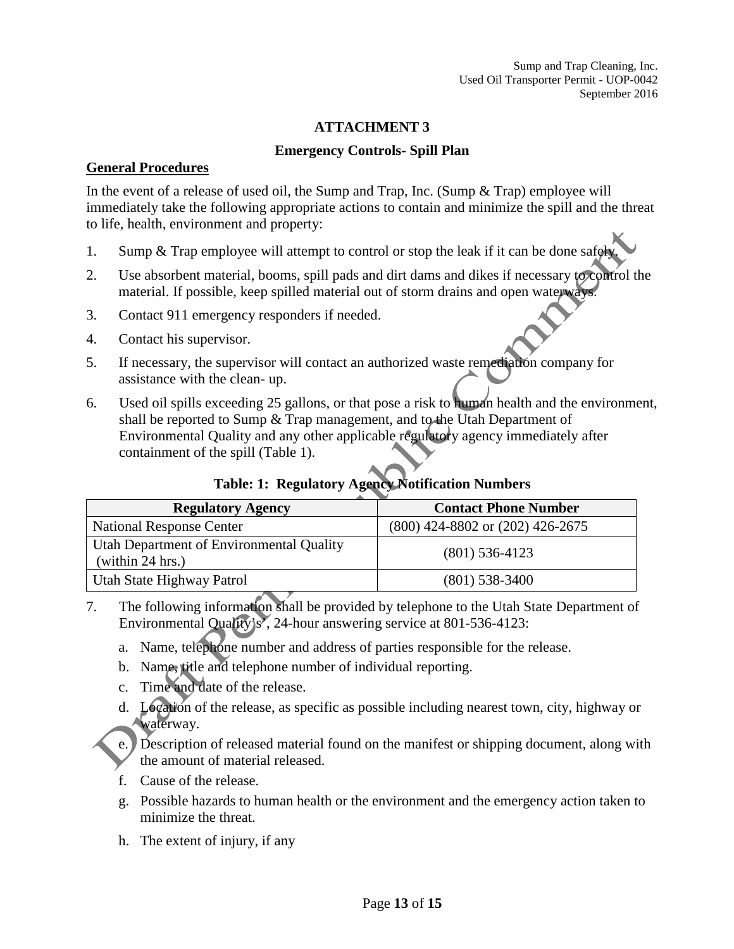### **ATTACHMENT 3**

#### **Emergency Controls- Spill Plan**

#### **General Procedures**

In the event of a release of used oil, the Sump and Trap, Inc. (Sump & Trap) employee will immediately take the following appropriate actions to contain and minimize the spill and the threat to life, health, environment and property:

- 1. Sump & Trap employee will attempt to control or stop the leak if it can be done safely.
- 2. Use absorbent material, booms, spill pads and dirt dams and dikes if necessary to control the material. If possible, keep spilled material out of storm drains and open waterways.
- 3. Contact 911 emergency responders if needed.
- 4. Contact his supervisor.
- 5. If necessary, the supervisor will contact an authorized waste remediation company for assistance with the clean- up.
- 6. Used oil spills exceeding 25 gallons, or that pose a risk to human health and the environment, shall be reported to Sump & Trap management, and to the Utah Department of Environmental Quality and any other applicable regulatory agency immediately after containment of the spill (Table 1).

### **Table: 1: Regulatory Agency Notification Numbers**

| <b>Regulatory Agency</b>                                     | <b>Contact Phone Number</b>          |
|--------------------------------------------------------------|--------------------------------------|
| <b>National Response Center</b>                              | $(800)$ 424-8802 or $(202)$ 426-2675 |
| Utah Department of Environmental Quality<br>(within 24 hrs.) | $(801)$ 536-4123                     |
| Utah State Highway Patrol                                    | $(801)$ 538-3400                     |

- 7. The following information shall be provided by telephone to the Utah State Department of Environmental Quality's', 24-hour answering service at 801-536-4123:
	- a. Name, telephone number and address of parties responsible for the release.
	- b. Name, title and telephone number of individual reporting.
	- c. Time and date of the release.
	- d. Location of the release, as specific as possible including nearest town, city, highway or waterway.
	- e. Description of released material found on the manifest or shipping document, along with the amount of material released.
	- f. Cause of the release.
	- g. Possible hazards to human health or the environment and the emergency action taken to minimize the threat.
	- h. The extent of injury, if any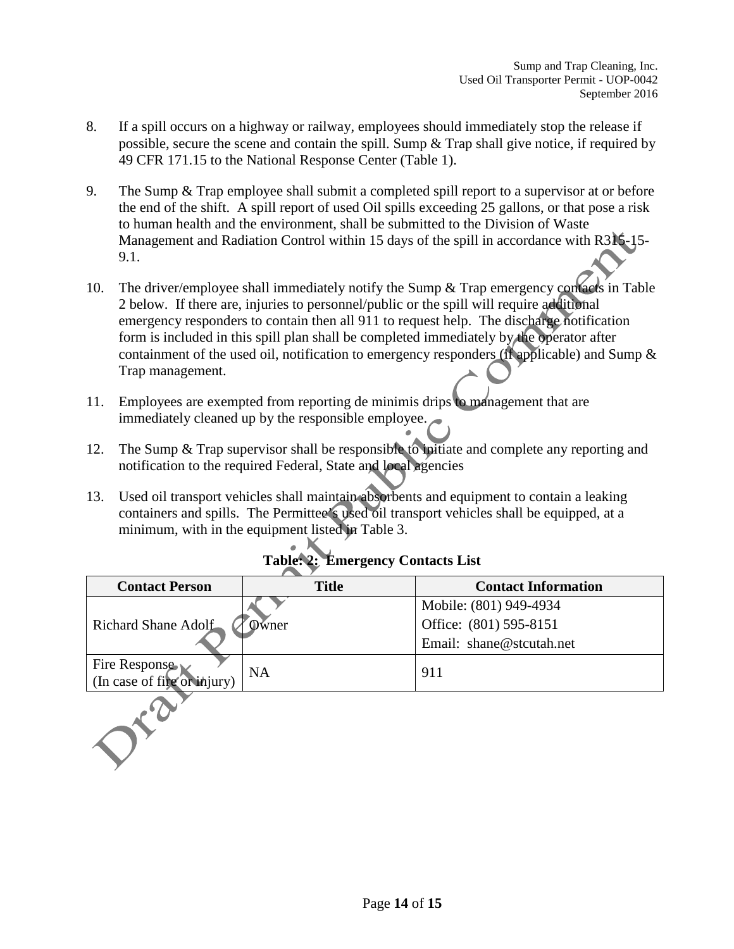- 8. If a spill occurs on a highway or railway, employees should immediately stop the release if possible, secure the scene and contain the spill. Sump & Trap shall give notice, if required by 49 CFR 171.15 to the National Response Center (Table 1).
- 9. The Sump & Trap employee shall submit a completed spill report to a supervisor at or before the end of the shift. A spill report of used Oil spills exceeding 25 gallons, or that pose a risk to human health and the environment, shall be submitted to the Division of Waste Management and Radiation Control within 15 days of the spill in accordance with R315-15- 9.1.
- 10. The driver/employee shall immediately notify the Sump & Trap emergency contacts in Table 2 below. If there are, injuries to personnel/public or the spill will require additional emergency responders to contain then all 911 to request help. The discharge notification form is included in this spill plan shall be completed immediately by the operator after containment of the used oil, notification to emergency responders (if applicable) and Sump & Trap management.
- 11. Employees are exempted from reporting de minimis drips to management that are immediately cleaned up by the responsible employee.
- 12. The Sump & Trap supervisor shall be responsible to initiate and complete any reporting and notification to the required Federal, State and local agencies
- 13. Used oil transport vehicles shall maintain absorbents and equipment to contain a leaking containers and spills. The Permittee's used oil transport vehicles shall be equipped, at a minimum, with in the equipment listed in Table 3.

| <b>Contact Person</b>                        | <b>Title</b> | <b>Contact Information</b> |
|----------------------------------------------|--------------|----------------------------|
| Richard Shane Adolf                          |              | Mobile: (801) 949-4934     |
|                                              | 0) wner      | Office: (801) 595-8151     |
|                                              |              | Email: shane@stcutah.net   |
| Fire Response<br>(In case of fire or injury) | <b>NA</b>    | 911                        |
|                                              |              |                            |

# **Table: 2: Emergency Contacts List**